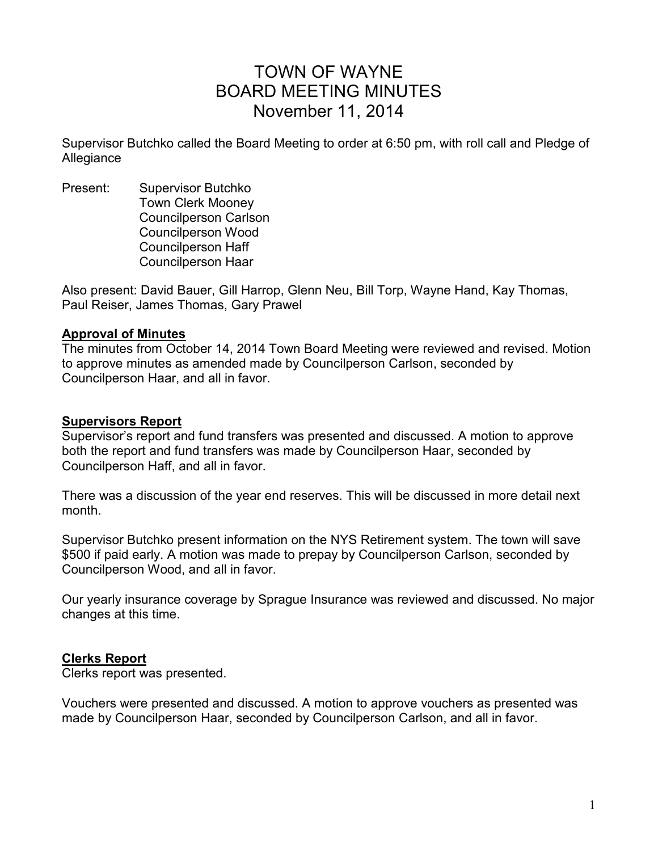# TOWN OF WAYNE BOARD MEETING MINUTES November 11, 2014

Supervisor Butchko called the Board Meeting to order at 6:50 pm, with roll call and Pledge of Allegiance

Present: Supervisor Butchko Town Clerk Mooney Councilperson Carlson Councilperson Wood Councilperson Haff Councilperson Haar

Also present: David Bauer, Gill Harrop, Glenn Neu, Bill Torp, Wayne Hand, Kay Thomas, Paul Reiser, James Thomas, Gary Prawel

#### **Approval of Minutes**

The minutes from October 14, 2014 Town Board Meeting were reviewed and revised. Motion to approve minutes as amended made by Councilperson Carlson, seconded by Councilperson Haar, and all in favor.

### **Supervisors Report**

Supervisor's report and fund transfers was presented and discussed. A motion to approve both the report and fund transfers was made by Councilperson Haar, seconded by Councilperson Haff, and all in favor.

There was a discussion of the year end reserves. This will be discussed in more detail next month.

Supervisor Butchko present information on the NYS Retirement system. The town will save \$500 if paid early. A motion was made to prepay by Councilperson Carlson, seconded by Councilperson Wood, and all in favor.

Our yearly insurance coverage by Sprague Insurance was reviewed and discussed. No major changes at this time.

### **Clerks Report**

Clerks report was presented.

Vouchers were presented and discussed. A motion to approve vouchers as presented was made by Councilperson Haar, seconded by Councilperson Carlson, and all in favor.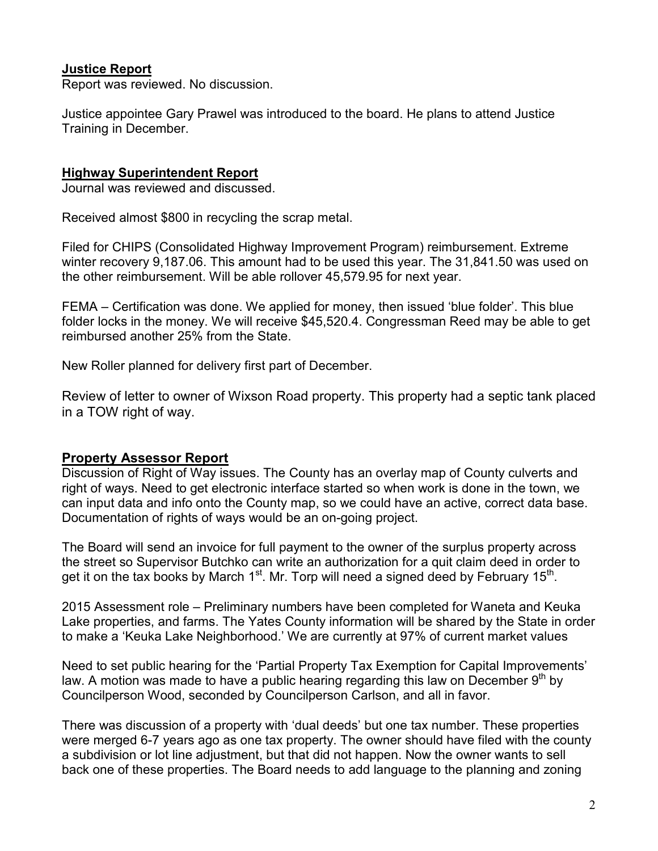## **Justice Report**

Report was reviewed. No discussion.

Justice appointee Gary Prawel was introduced to the board. He plans to attend Justice Training in December.

### **Highway Superintendent Report**

Journal was reviewed and discussed.

Received almost \$800 in recycling the scrap metal.

Filed for CHIPS (Consolidated Highway Improvement Program) reimbursement. Extreme winter recovery 9,187.06. This amount had to be used this year. The 31,841.50 was used on the other reimbursement. Will be able rollover 45,579.95 for next year.

FEMA – Certification was done. We applied for money, then issued 'blue folder'. This blue folder locks in the money. We will receive \$45,520.4. Congressman Reed may be able to get reimbursed another 25% from the State.

New Roller planned for delivery first part of December.

Review of letter to owner of Wixson Road property. This property had a septic tank placed in a TOW right of way.

# **Property Assessor Report**

Discussion of Right of Way issues. The County has an overlay map of County culverts and right of ways. Need to get electronic interface started so when work is done in the town, we can input data and info onto the County map, so we could have an active, correct data base. Documentation of rights of ways would be an on-going project.

The Board will send an invoice for full payment to the owner of the surplus property across the street so Supervisor Butchko can write an authorization for a quit claim deed in order to get it on the tax books by March 1<sup>st</sup>. Mr. Torp will need a signed deed by February 15<sup>th</sup>.

2015 Assessment role – Preliminary numbers have been completed for Waneta and Keuka Lake properties, and farms. The Yates County information will be shared by the State in order to make a 'Keuka Lake Neighborhood.' We are currently at 97% of current market values

Need to set public hearing for the 'Partial Property Tax Exemption for Capital Improvements' law. A motion was made to have a public hearing regarding this law on December  $9<sup>th</sup>$  by Councilperson Wood, seconded by Councilperson Carlson, and all in favor.

There was discussion of a property with 'dual deeds' but one tax number. These properties were merged 6-7 years ago as one tax property. The owner should have filed with the county a subdivision or lot line adjustment, but that did not happen. Now the owner wants to sell back one of these properties. The Board needs to add language to the planning and zoning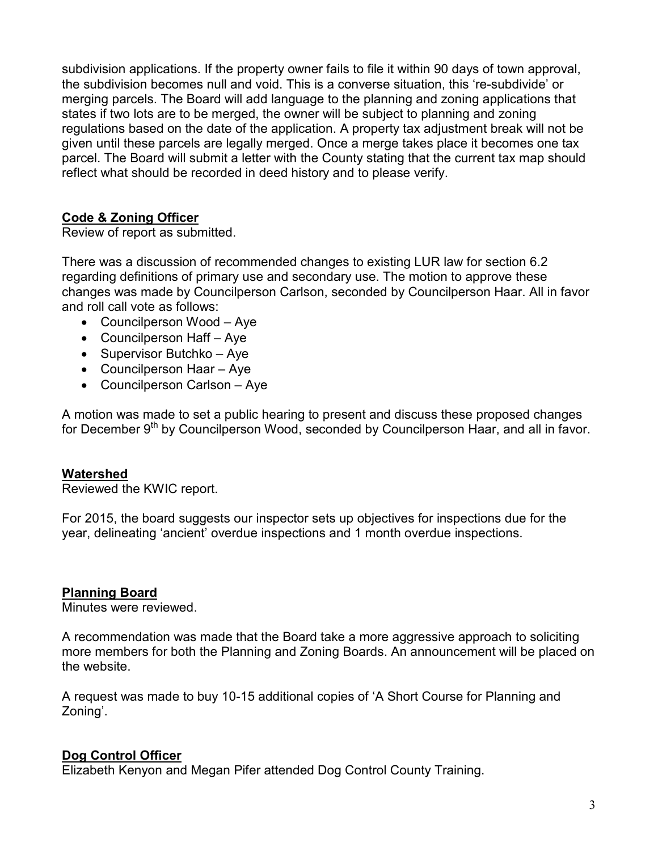subdivision applications. If the property owner fails to file it within 90 days of town approval, the subdivision becomes null and void. This is a converse situation, this 're-subdivide' or merging parcels. The Board will add language to the planning and zoning applications that states if two lots are to be merged, the owner will be subject to planning and zoning regulations based on the date of the application. A property tax adjustment break will not be given until these parcels are legally merged. Once a merge takes place it becomes one tax parcel. The Board will submit a letter with the County stating that the current tax map should reflect what should be recorded in deed history and to please verify.

# **Code & Zoning Officer**

Review of report as submitted.

There was a discussion of recommended changes to existing LUR law for section 6.2 regarding definitions of primary use and secondary use. The motion to approve these changes was made by Councilperson Carlson, seconded by Councilperson Haar. All in favor and roll call vote as follows:

- Councilperson Wood Aye
- Councilperson Haff Aye
- Supervisor Butchko Aye
- Councilperson Haar Aye
- Councilperson Carlson Aye

A motion was made to set a public hearing to present and discuss these proposed changes for December 9<sup>th</sup> by Councilperson Wood, seconded by Councilperson Haar, and all in favor.

### **Watershed**

Reviewed the KWIC report.

For 2015, the board suggests our inspector sets up objectives for inspections due for the year, delineating 'ancient' overdue inspections and 1 month overdue inspections.

### **Planning Board**

Minutes were reviewed.

A recommendation was made that the Board take a more aggressive approach to soliciting more members for both the Planning and Zoning Boards. An announcement will be placed on the website.

A request was made to buy 10-15 additional copies of 'A Short Course for Planning and Zoning'.

# **Dog Control Officer**

Elizabeth Kenyon and Megan Pifer attended Dog Control County Training.